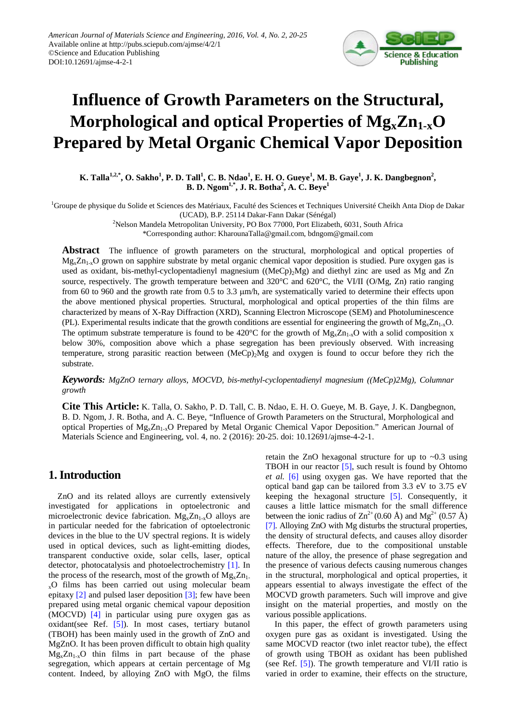

# **Influence of Growth Parameters on the Structural, Morphological and optical Properties of MgxZn1-xO Prepared by Metal Organic Chemical Vapor Deposition**

**K.** Talla<sup>1,2,\*</sup>, O. Sakho<sup>1</sup>, P. D. Tall<sup>1</sup>, C. B. Ndao<sup>1</sup>, E. H. O. Gueye<sup>1</sup>, M. B. Gaye<sup>1</sup>, J. K. Dangbegnon<sup>2</sup>, **B. D. Ngom1,\*, J. R. Botha2 , A. C. Beye<sup>1</sup>**

<sup>1</sup>Groupe de physique du Solide et Sciences des Matériaux, Faculté des Sciences et Techniques Université Cheikh Anta Diop de Dakar (UCAD), B.P. 25114 Dakar-Fann Dakar (Sénégal)

> 2 Nelson Mandela Metropolitan University, PO Box 77000, Port Elizabeth, 6031, South Africa \*Corresponding author: KharounaTalla@gmail.com, bdngom@gmail.com

**Abstract** The influence of growth parameters on the structural, morphological and optical properties of  $Mg_xZn_{1-x}O$  grown on sapphire substrate by metal organic chemical vapor deposition is studied. Pure oxygen gas is used as oxidant, bis-methyl-cyclopentadienyl magnesium  $((MeCp)_{2}Mg)$  and diethyl zinc are used as Mg and Zn source, respectively. The growth temperature between and 320°C and 620°C, the VI/II (O/Mg, Zn) ratio ranging from 60 to 960 and the growth rate from 0.5 to 3.3 µm/h, are systematically varied to determine their effects upon the above mentioned physical properties. Structural, morphological and optical properties of the thin films are characterized by means of X-Ray Diffraction (XRD), Scanning Electron Microscope (SEM) and Photoluminescence (PL). Experimental results indicate that the growth conditions are essential for engineering the growth of  $M_{S_x}Z_{n_1,x}O$ . The optimum substrate temperature is found to be 420 $^{\circ}$ C for the growth of Mg<sub>x</sub>Zn<sub>1-x</sub>O with a solid composition x below 30%, composition above which a phase segregation has been previously observed. With increasing temperature, strong parasitic reaction between (MeCp)2Mg and oxygen is found to occur before they rich the substrate.

*Keywords: MgZnO ternary alloys, MOCVD, bis-methyl-cyclopentadienyl magnesium ((MeCp)2Mg), Columnar growth*

**Cite This Article:** K. Talla, O. Sakho, P. D. Tall, C. B. Ndao, E. H. O. Gueye, M. B. Gaye, J. K. Dangbegnon, B. D. Ngom, J. R. Botha, and A. C. Beye, "Influence of Growth Parameters on the Structural, Morphological and optical Properties of  $Mg_x Zn_{1-x}O$  Prepared by Metal Organic Chemical Vapor Deposition." American Journal of Materials Science and Engineering, vol. 4, no. 2 (2016): 20-25. doi: 10.12691/ajmse-4-2-1.

## **1. Introduction**

ZnO and its related alloys are currently extensively investigated for applications in optoelectronic and microelectronic device fabrication.  $Mg_x Zn_{1-x}O$  alloys are in particular needed for the fabrication of optoelectronic devices in the blue to the UV spectral regions. It is widely used in optical devices, such as light-emitting diodes, transparent conductive oxide, solar cells, laser, optical detector, photocatalysis and photoelectrochemistry [\[1\].](#page-5-0) In the process of the research, most of the growth of  $Mg_xZn_1$ .  $_{x}$ O films has been carried out using molecular beam epitaxy [\[2\]](#page-5-1) and pulsed laser deposition [\[3\];](#page-5-2) few have been prepared using metal organic chemical vapour deposition (MOCVD) [\[4\]](#page-5-3) in particular using pure oxygen gas as oxidant(see Ref. [\[5\]\)](#page-5-4). In most cases, tertiary butanol (TBOH) has been mainly used in the growth of ZnO and MgZnO. It has been proven difficult to obtain high quality  $Mg_xZn_{1-x}O$  thin films in part because of the phase segregation, which appears at certain percentage of Mg content. Indeed, by alloying ZnO with MgO, the films retain the ZnO hexagonal structure for up to  $\sim 0.3$  using TBOH in our reactor [\[5\],](#page-5-4) such result is found by Ohtomo *et al.* [\[6\]](#page-5-5) using oxygen gas. We have reported that the optical band gap can be tailored from 3.3 eV to 3.75 eV keeping the hexagonal structure [\[5\].](#page-5-4) Consequently, it causes a little lattice mismatch for the small difference between the ionic radius of  $\text{Zn}^{2+}$  (0.60 Å) and Mg<sup>2+</sup> (0.57 Å) [\[7\].](#page-5-6) Alloying ZnO with Mg disturbs the structural properties, the density of structural defects, and causes alloy disorder effects. Therefore, due to the compositional unstable nature of the alloy, the presence of phase segregation and the presence of various defects causing numerous changes in the structural, morphological and optical properties, it appears essential to always investigate the effect of the MOCVD growth parameters. Such will improve and give insight on the material properties, and mostly on the various possible applications.

In this paper, the effect of growth parameters using oxygen pure gas as oxidant is investigated. Using the same MOCVD reactor (two inlet reactor tube), the effect of growth using TBOH as oxidant has been published (see Ref. [\[5\]\)](#page-5-4). The growth temperature and VI/II ratio is varied in order to examine, their effects on the structure,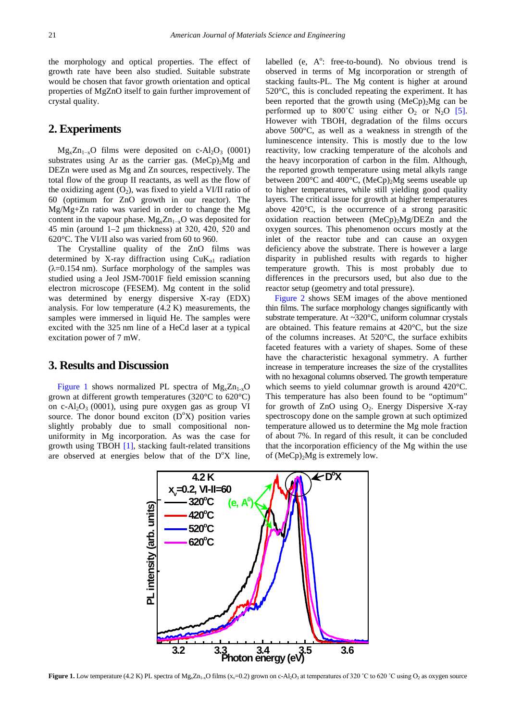the morphology and optical properties. The effect of growth rate have been also studied. Suitable substrate would be chosen that favor growth orientation and optical properties of MgZnO itself to gain further improvement of crystal quality.

## **2. Experiments**

 $Mg_xZn_{1-x}O$  films were deposited on c-Al<sub>2</sub>O<sub>3</sub> (0001) substrates using Ar as the carrier gas.  $(MeCp)_{2}Mg$  and DEZn were used as Mg and Zn sources, respectively. The total flow of the group II reactants, as well as the flow of the oxidizing agent  $(O_2)$ , was fixed to yield a VI/II ratio of 60 (optimum for ZnO growth in our reactor). The Mg/Mg+Zn ratio was varied in order to change the Mg content in the vapour phase.  $Mg_x Zn_{1-x}O$  was deposited for 45 min (around 1–2 μm thickness) at 320, 420, 520 and 620°C. The VI/II also was varied from 60 to 960.

The Crystalline quality of the ZnO films was determined by X-ray diffraction using  $CuK_{a1}$  radiation  $(\lambda=0.154 \text{ nm})$ . Surface morphology of the samples was studied using a Jeol JSM-7001F field emission scanning electron microscope (FESEM). Mg content in the solid was determined by energy dispersive X-ray (EDX) analysis. For low temperature (4.2 K) measurements, the samples were immersed in liquid He. The samples were excited with the 325 nm line of a HeCd laser at a typical excitation power of 7 mW.

#### **3. Results and Discussion**

<span id="page-1-0"></span>[Figure 1](#page-1-0) shows normalized PL spectra of  $Mg_xZn_{1-x}O$ grown at different growth temperatures (320°C to 620°C) on c-Al<sub>2</sub>O<sub>3</sub> (0001), using pure oxygen gas as group VI source. The donor bound exciton (D°X) position varies slightly probably due to small compositional nonuniformity in Mg incorporation. As was the case for growth using TBOH [\[1\],](#page-5-0) stacking fault-related transitions are observed at energies below that of the  $D^{\circ}X$  line,

labelled (e,  $A^0$ : free-to-bound). No obvious trend is observed in terms of Mg incorporation or strength of stacking faults-PL. The Mg content is higher at around 520°C, this is concluded repeating the experiment. It has been reported that the growth using  $(MeCp)$ <sub>2</sub>Mg can be performed up to  $800^{\circ}$ C using either  $O_2$  or N<sub>2</sub>O [\[5\].](#page-5-4) However with TBOH, degradation of the films occurs above 500°C, as well as a weakness in strength of the luminescence intensity. This is mostly due to the low reactivity, low cracking temperature of the alcohols and the heavy incorporation of carbon in the film. Although, the reported growth temperature using metal alkyls range between 200 $^{\circ}$ C and 400 $^{\circ}$ C, (MeCp)<sub>2</sub>Mg seems useable up to higher temperatures, while still yielding good quality layers. The critical issue for growth at higher temperatures above 420°C, is the occurrence of a strong parasitic oxidation reaction between  $(MeCp)_2Mg/DEZn$  and the oxygen sources. This phenomenon occurs mostly at the inlet of the reactor tube and can cause an oxygen deficiency above the substrate. There is however a large disparity in published results with regards to higher temperature growth. This is most probably due to differences in the precursors used, but also due to the reactor setup (geometry and total pressure).

[Figure 2](#page-2-0) shows SEM images of the above mentioned thin films. The surface morphology changes significantly with substrate temperature. At ~320°C, uniform columnar crystals are obtained. This feature remains at 420°C, but the size of the columns increases. At 520°C, the surface exhibits faceted features with a variety of shapes. Some of these have the characteristic hexagonal symmetry. A further increase in temperature increases the size of the crystallites with no hexagonal columns observed. The growth temperature which seems to yield columnar growth is around 420°C. This temperature has also been found to be "optimum" for growth of  $ZnO$  using  $O<sub>2</sub>$ . Energy Dispersive X-ray spectroscopy done on the sample grown at such optimized temperature allowed us to determine the Mg mole fraction of about 7%. In regard of this result, it can be concluded that the incorporation efficiency of the Mg within the use of  $(MeCp)_{2}Mg$  is extremely low.



**Figure 1.** Low temperature (4.2 K) PL spectra of Mg<sub>x</sub>Zn<sub>1-x</sub>O films (x<sub>v</sub>=0.2) grown on c-Al<sub>2</sub>O<sub>3</sub> at temperatures of 320 °C to 620 °C using O<sub>2</sub> as oxygen source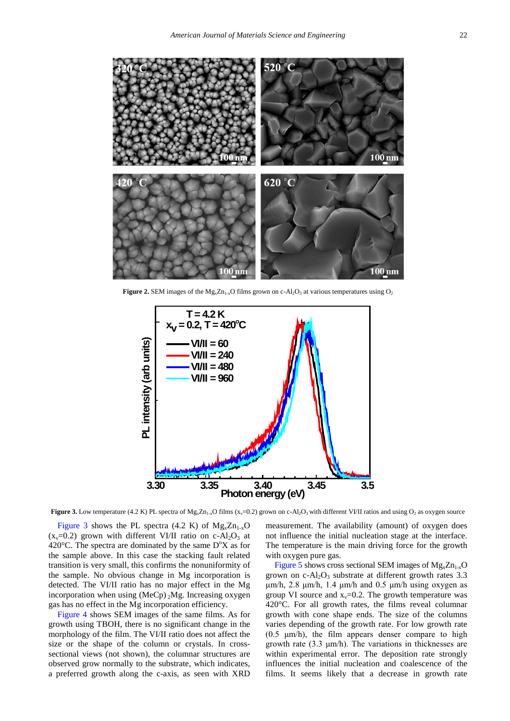<span id="page-2-0"></span>

<span id="page-2-1"></span>**Figure 2.** SEM images of the  $Mg_xZn_{1-x}O$  films grown on c-Al<sub>2</sub>O<sub>3</sub> at various temperatures using O<sub>2</sub>



**Figure 3.** Low temperature (4.2 K) PL spectra of  $Mg_xZn_{1-x}O$  films (x<sub>v</sub>=0.2) grown on c-Al<sub>2</sub>O<sub>3</sub> with different VI/II ratios and using O<sub>2</sub> as oxygen source

[Figure 3](#page-2-1) shows the PL spectra (4.2 K) of  $Mg_x Zn_{1-x}O$  $(x_v=0.2)$  grown with different VI/II ratio on c-Al<sub>2</sub>O<sub>3</sub> at 420 $^{\circ}$ C. The spectra are dominated by the same  $D^{\circ}X$  as for the sample above. In this case the stacking fault related transition is very small, this confirms the nonuniformity of the sample. No obvious change in Mg incorporation is detected. The VI/II ratio has no major effect in the Mg incorporation when using  $(MeCp)$  <sub>2</sub>Mg. Increasing oxygen gas has no effect in the Mg incorporation efficiency.

[Figure 4](#page-3-0) shows SEM images of the same films. As for growth using TBOH, there is no significant change in the morphology of the film. The VI/II ratio does not affect the size or the shape of the column or crystals. In crosssectional views (not shown), the columnar structures are observed grow normally to the substrate, which indicates, a preferred growth along the c-axis, as seen with XRD measurement. The availability (amount) of oxygen does not influence the initial nucleation stage at the interface. The temperature is the main driving force for the growth with oxygen pure gas.

[Figure](#page-3-1) 5 shows cross sectional SEM images of  $Mg_xZn_{1-x}O$ grown on  $c-Al_2O_3$  substrate at different growth rates 3.3 μm/h, 2.8 μm/h, 1.4 μm/h and 0.5 μm/h using oxygen as group VI source and  $x_v=0.2$ . The growth temperature was 420°C. For all growth rates, the films reveal columnar growth with cone shape ends. The size of the columns varies depending of the growth rate. For low growth rate (0.5 μm/h), the film appears denser compare to high growth rate (3.3 μm/h). The variations in thicknesses are within experimental error. The deposition rate strongly influences the initial nucleation and coalescence of the films. It seems likely that a decrease in growth rate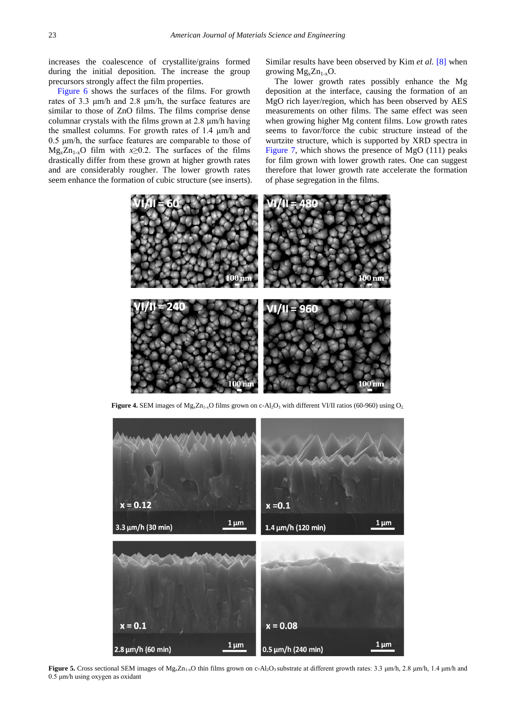increases the coalescence of crystallite/grains formed during the initial deposition. The increase the group precursors strongly affect the film properties.

[Figure 6](#page-4-0) shows the surfaces of the films. For growth rates of 3.3 μm/h and 2.8 μm/h, the surface features are similar to those of ZnO films. The films comprise dense columnar crystals with the films grown at 2.8 μm/h having the smallest columns. For growth rates of 1.4 μm/h and 0.5 μm/h, the surface features are comparable to those of  $Mg_xZn_{1-x}O$  film with  $x\geq 0.2$ . The surfaces of the films drastically differ from these grown at higher growth rates and are considerably rougher. The lower growth rates seem enhance the formation of cubic structure (see inserts). Similar results have been observed by Kim *et al.* [\[8\]](#page-5-7) when growing  $Mg_xZn_{1-x}O$ .

The lower growth rates possibly enhance the Mg deposition at the interface, causing the formation of an MgO rich layer/region, which has been observed by AES measurements on other films. The same effect was seen when growing higher Mg content films. Low growth rates seems to favor/force the cubic structure instead of the wurtzite structure, which is supported by XRD spectra in [Figure 7,](#page-4-1) which shows the presence of MgO (111) peaks for film grown with lower growth rates. One can suggest therefore that lower growth rate accelerate the formation of phase segregation in the films.

<span id="page-3-0"></span>

**Figure 4.** SEM images of  $Mg_xZn_{1-x}O$  films grown on c-Al<sub>2</sub>O<sub>3</sub> with different VI/II ratios (60-960) using  $O_2$ .

<span id="page-3-1"></span>

Figure 5. Cross sectional SEM images of Mg<sub>xZn<sub>1-x</sub>O thin films grown on c-Al<sub>2</sub>O<sub>3</sub> substrate at different growth rates: 3.3 μm/h, 2.8 μm/h, 1.4 μm/h and</sub> 0.5 μm/h using oxygen as oxidant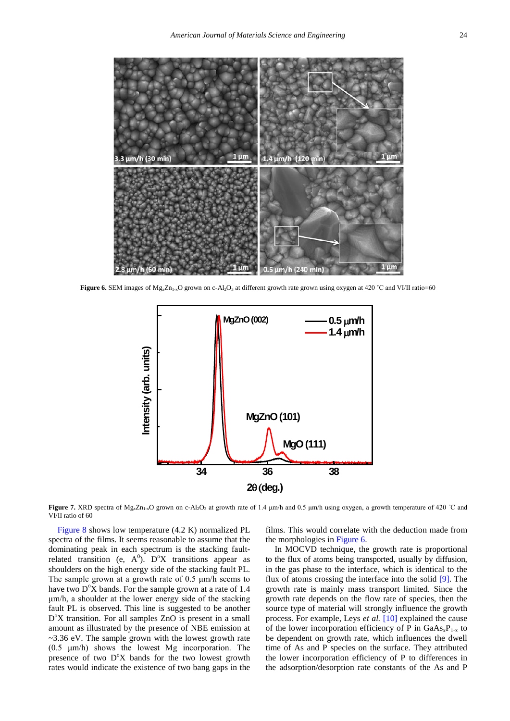<span id="page-4-0"></span>

<span id="page-4-1"></span>**Figure 6.** SEM images of Mg<sub>x</sub>Zn<sub>1-x</sub>O grown on c-Al<sub>2</sub>O<sub>3</sub> at different growth rate grown using oxygen at 420 °C and VI/II ratio=60



**Figure 7.** XRD spectra of Mg<sub>x</sub>Zn<sub>1-x</sub>O grown on c-Al<sub>2</sub>O<sub>3</sub> at growth rate of 1.4 μm/h and 0.5 μm/h using oxygen, a growth temperature of 420 °C and VI/II ratio of 60

[Figure 8](#page-5-8) shows low temperature (4.2 K) normalized PL spectra of the films. It seems reasonable to assume that the dominating peak in each spectrum is the stacking faultrelated transition (e,  $A^0$ ). D<sup>o</sup>X transitions appear as shoulders on the high energy side of the stacking fault PL. The sample grown at a growth rate of 0.5 μm/h seems to have two  $D^{\circ}X$  bands. For the sample grown at a rate of 1.4 μm/h, a shoulder at the lower energy side of the stacking fault PL is observed. This line is suggested to be another D°X transition. For all samples ZnO is present in a small amount as illustrated by the presence of NBE emission at ~3.36 eV. The sample grown with the lowest growth rate (0.5 μm/h) shows the lowest Mg incorporation. The presence of two D°X bands for the two lowest growth rates would indicate the existence of two bang gaps in the

films. This would correlate with the deduction made from the morphologies i[n Figure 6.](#page-4-0)

In MOCVD technique, the growth rate is proportional to the flux of atoms being transported, usually by diffusion, in the gas phase to the interface, which is identical to the flux of atoms crossing the interface into the solid [\[9\].](#page-5-9) The growth rate is mainly mass transport limited. Since the growth rate depends on the flow rate of species, then the source type of material will strongly influence the growth process. For example, Leys *et al.* [\[10\]](#page-5-10) explained the cause of the lower incorporation efficiency of P in  $GaAs_xP_{1-x}$  to be dependent on growth rate, which influences the dwell time of As and P species on the surface. They attributed the lower incorporation efficiency of P to differences in the adsorption/desorption rate constants of the As and P